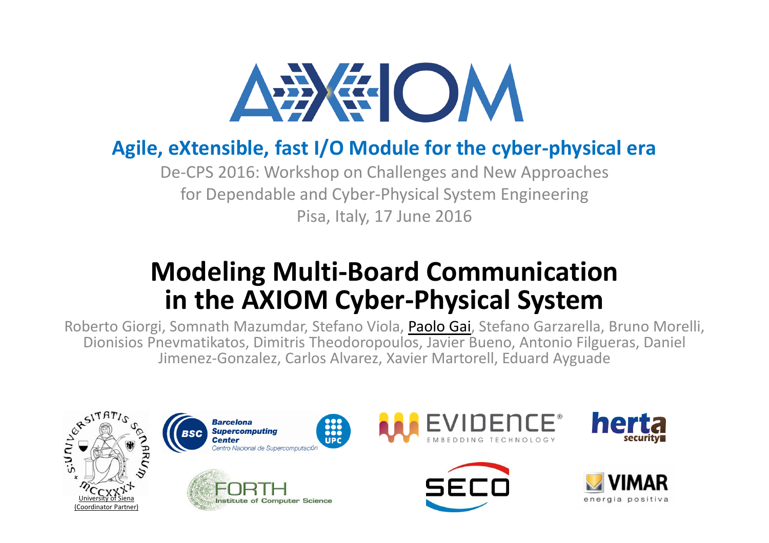

### **Agile, eXtensible, fast I/O Module for the cyber-physical era**

De-CPS 2016: Workshop on Challenges and New Approachesfor Dependable and Cyber-Physical System EngineeringPisa, Italy, 17 June 2016

### **Modeling Multi-Board Communicationin the AXIOM Cyber-Physical System**

Roberto Giorgi, Somnath Mazumdar, Stefano Viola, <mark>Paolo Gai</mark>, Stefano Garzarella, Bruno Morelli, Dionisios Pnevmatikatos, Dimitris Theodoropoulos, Javier Bueno, Antonio Filgueras, Daniel Jimenez-Gonzalez, Carlos Alvarez, Xavier Martorell, Eduard Ayguade

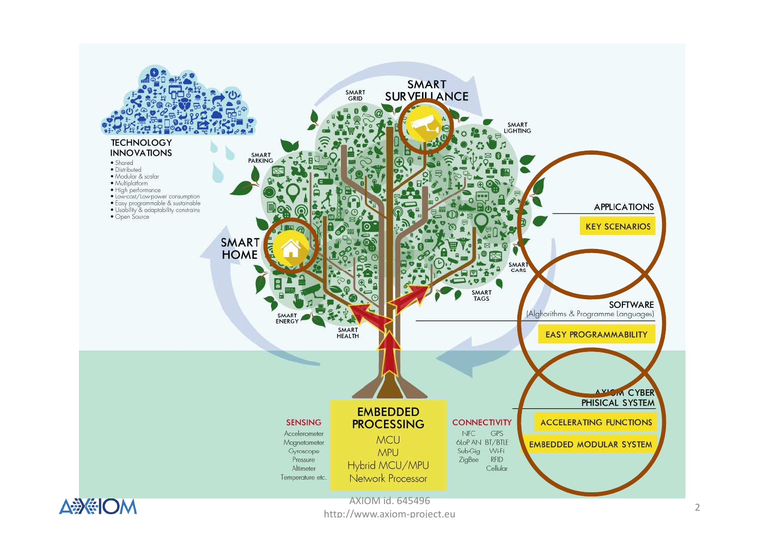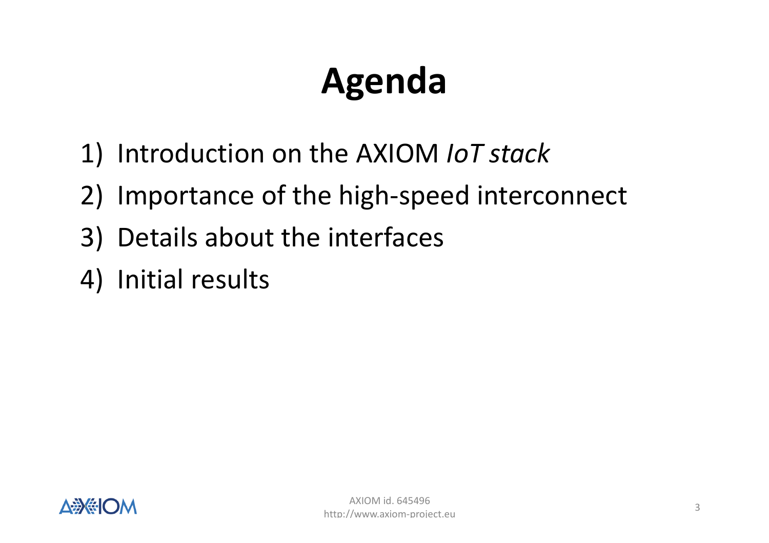# **Agenda**

- 1) Introduction on the AXIOM *IoT stack*
- 2) Importance of the high-speed interconnect
- 3) Details about the interfaces
- 4) Initial results

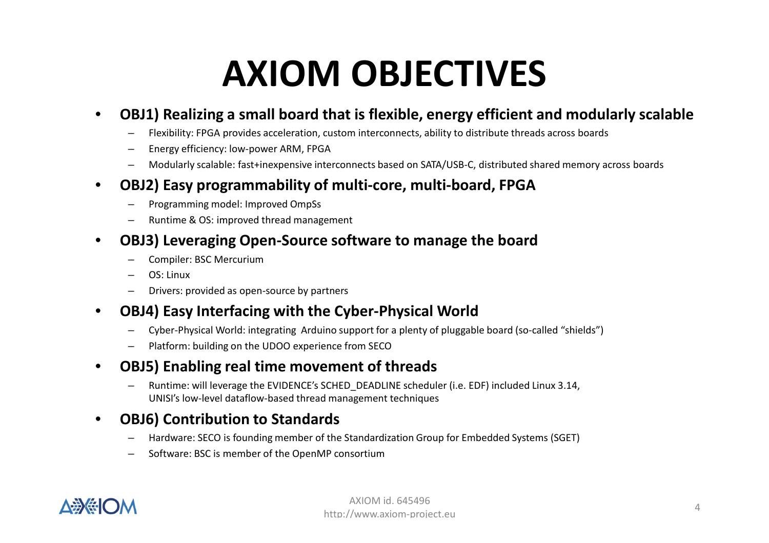# **AXIOM OBJECTIVES**

### $\bullet$ **OBJ1) Realizing a small board that is flexible, energy efficient and modularly scalable**

- –Flexibility: FPGA provides acceleration, custom interconnects, ability to distribute threads across boards
- –Energy efficiency: low-power ARM, FPGA
- Modularly scalable: fast+inexpensive interconnects based on SATA/USB-C, distributed shared memory across boards –

### $\bullet$ **OBJ2) Easy programmability of multi-core, multi-board, FPGA**

- Programming model: Improved OmpSs
- –Runtime & OS: improved thread management
- • **OBJ3) Leveraging Open-Source software to manage the board**
	- Compiler: BSC Mercurium
	- OS: Linux
	- Drivers: provided as open-source by partners
- $\bullet$  **OBJ4) Easy Interfacing with the Cyber-Physical Worl d**
	- Cyber-Physical World: integrating Arduino support for a plenty of pluggable board (so-called "shields")
	- Platform: building on the UDOO experience from SECO
- • **OBJ5) Enabling real time movement of threads**
	- – Runtime: will leverage the EVIDENCE's SCHED\_DEADLINE scheduler (i.e. EDF) included Linux 3.14, UNISI's low-level dataflow-based thread management techniques

### •**OBJ6) Contribution to Standards**

- –Hardware: SECO is founding member of the Standardization Group for Embedded Systems (SGET)
- Software: BSC is member of the OpenMP consortium

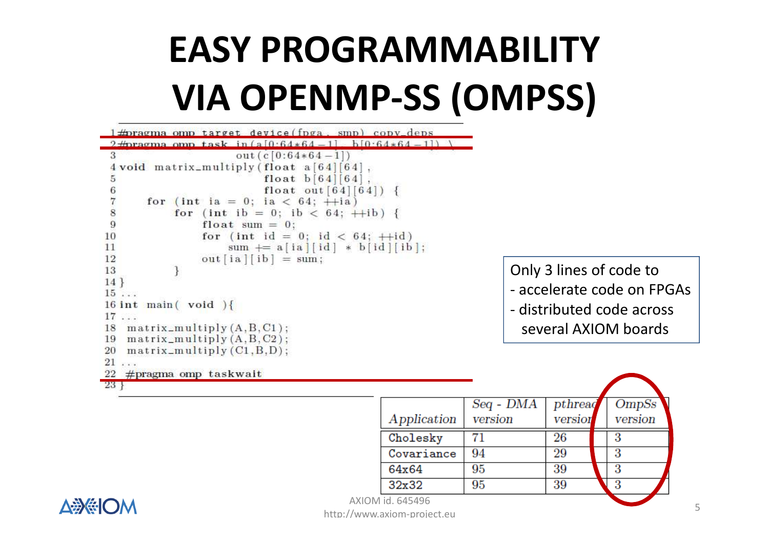# **EASY PROGRAMMABILITYVIA OPENMP-SS (OMPSS)**

```
1 \text{\#}pragma omp target device (fpga, smp) copy deps
 2\pmagma omp task in (a[0.64*64-1] - b[0.64*64-1])out (c[0:64*64-1])4 void matrix_multiply (float a [64][64],
                         float b[64][64].
 5
                         float out [64][64]) {
 6
      for (int ia = 0; ia < 64; +ia)
           for (int ib = 0; ib < 64; +ib) {
 8
 9
               float sum = 0:
               for (int id = 0; id < 64; +id)
10
                   sum += a [ia] [id] * b [id] [ib];1112
               out[ia][ib] = sum;13
14}
15 \ldots16 int main (void) {
17...18 matrix_multiply(A, B, C1);19 matrix_multiply(A, B, C2);20 matrix_multiply(C1, B, D);21 \ldots22 \#pragma omp taskwait
23+
```
 $Seq - DMA$  $pthreaq$ *OmpSs* Application version version version  $71$ Cholesky 26 3 94 29 Covariance 3 64x64 95 39 3 32x32 95 39 3

Only 3 lines of code to

- accelerate code on FPGAs

- distributed code across several AXIOM boards



AXIOM id. 645496 http://www.axiom-project.eu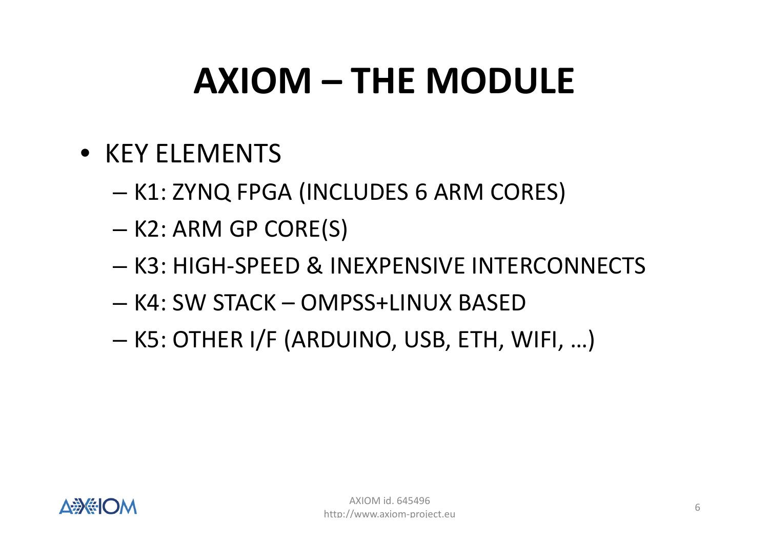# **AXIOM – THE MODULE**

- KEY ELEMENTS
	- – $-$  K1: ZYNQ FPGA (INCLUDES 6 ARM CORES)
	- –— K2: ARM GP CORE(S)
	- – $-$  K3: HIGH-SPEED & INEXPENSIVE INTERCONNECTS
	- –K4: SW STACK – OMPSS+LINUX BASED
	- –K5: OTHER I/F (ARDUINO, USB, ETH, WIFI, …)

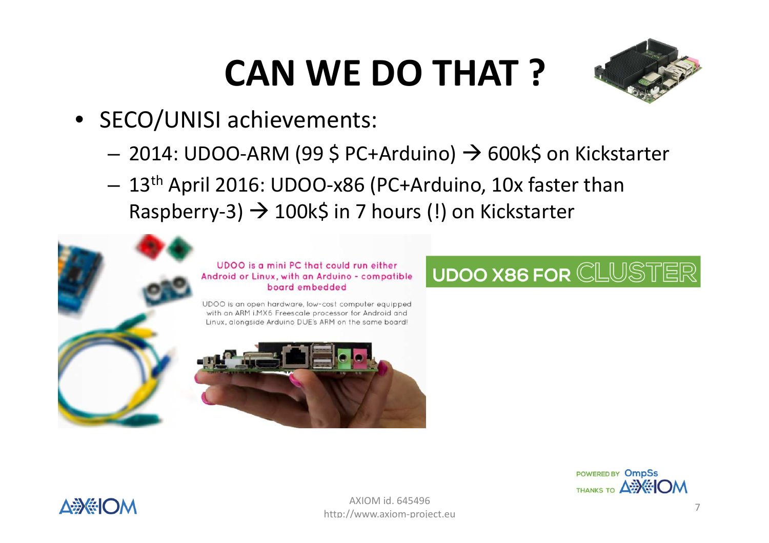# **CAN WE DO THAT ?**



- SECO/UNISI achievements:
	- and the state of the – 2014: UDOO-ARM (99 \$ PC+Arduino) → 600k\$ on Kickstarter<br>- 13th Assil 2016, UDOO x96 (B6: Archives, 10x fester there
	- **Links of the Company** - 13<sup>th</sup> April 2016: UDOO-x86 (PC+Arduino, 10x faster than Raspberry-3)  $\rightarrow$  100k\$ in 7 hours (!) on Kickstarter



### **UDOO X86 FOR CLUSTE**



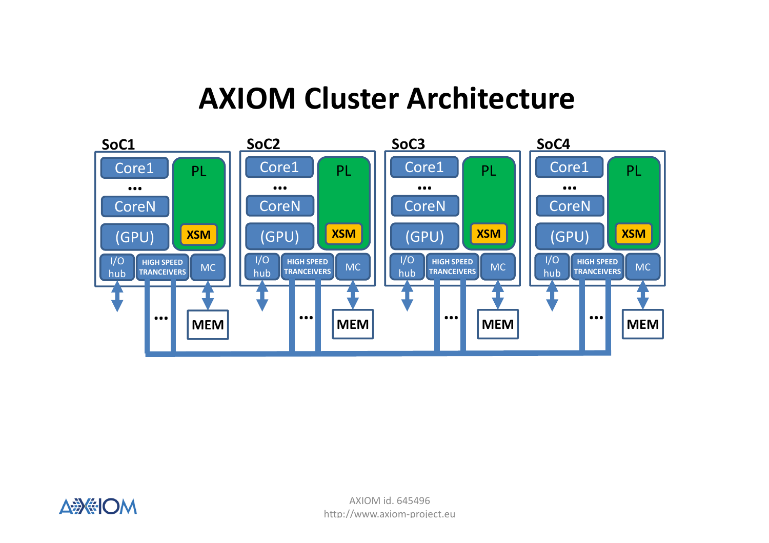### **AXIOM Cluster Architecture**



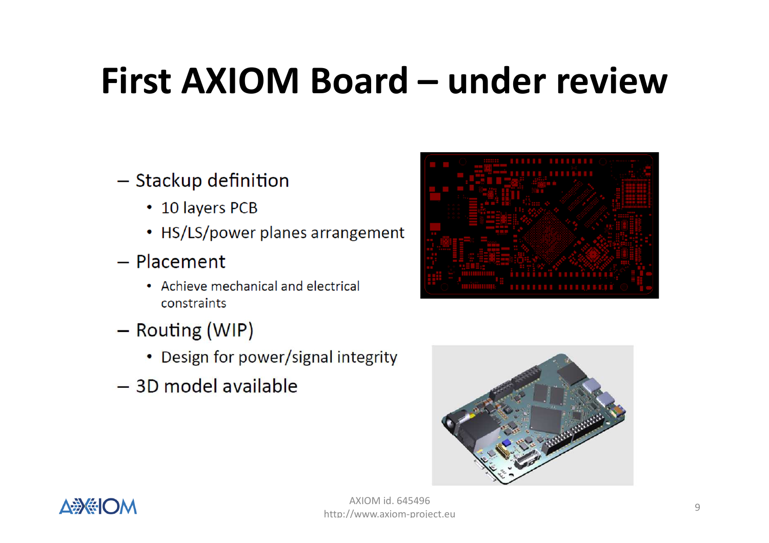# **First AXIOM Board – under review**

### - Stackup definition

- 10 layers PCB
- HS/LS/power planes arrangement
- $-$  Placement
	- Achieve mechanical and electrical constraints
- Routing (WIP)
	- Design for power/signal integrity
- 3D model available





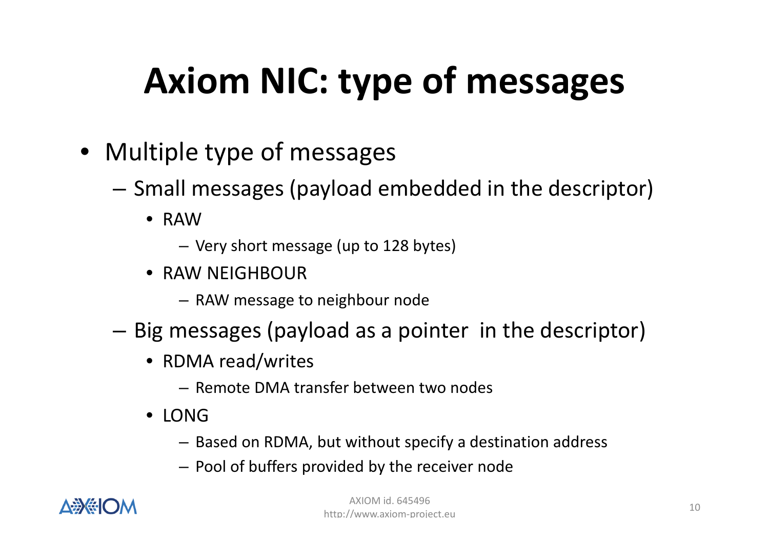# **Axiom NIC: type of messages**

- Multiple type of messages
	- – $-$  Small messages (payload embedded in the descriptor)
		- RAW
			- Very short message (up to 128 bytes)
		- RAW NEIGHBOUR
			- RAW message to neighbour node
	- – $-$  Big messages (payload as a pointer in the descriptor)
		- RDMA read/writes
			- Remote DMA transfer between two nodes
		- LONG
			- Based on RDMA, but without specify a destination address
			- Pool of buffers provided by the receiver node

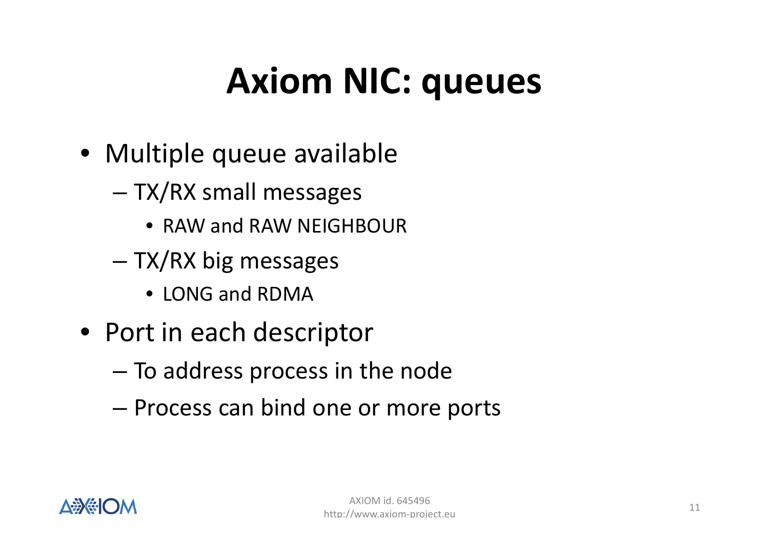# **Axiom NIC: queues**

- Multiple queue available
	- – TX/RX small messages
		- RAW and RAW NEIGHBOUR
	- – TX/RX big messages
		- LONG and RDMA
- Port in each descriptor
	- – $-$  To address process in the node
	- –– Process can bind one or more ports

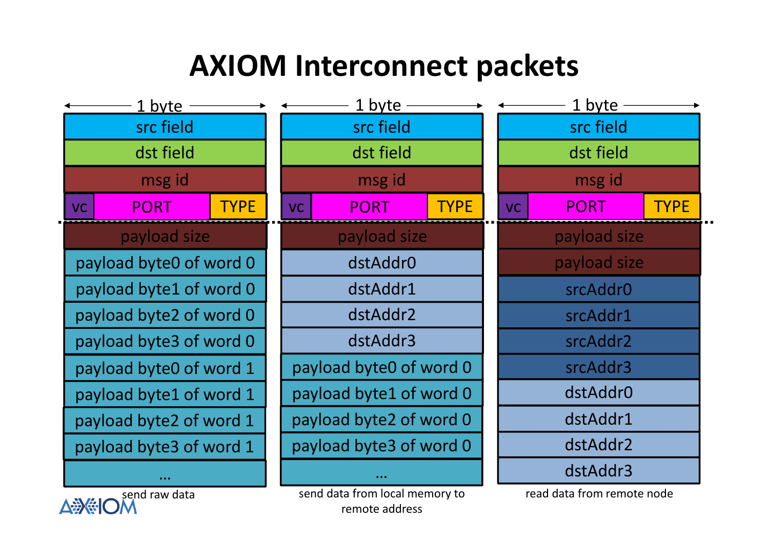### **AXIOM Interconnect packets**



read data from remote node

 send data from local memory to remote address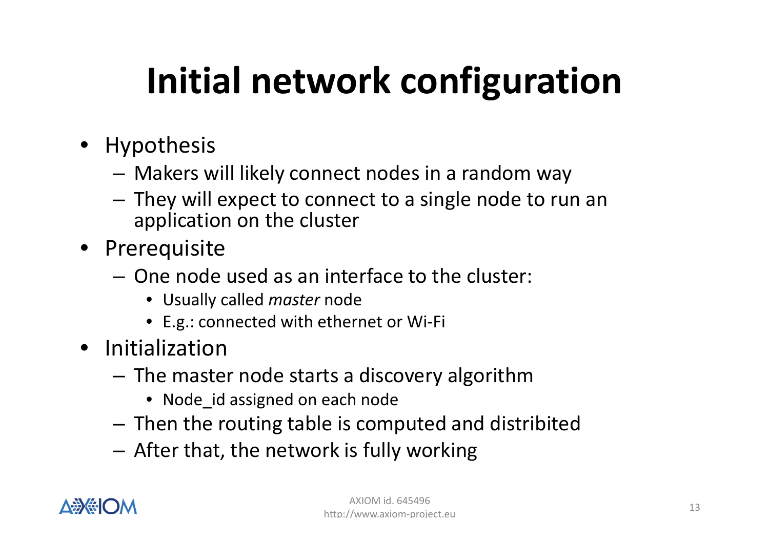# **Initial network configuration**

- Hypothesis
	- Makers will likely connect nodes in a random way
	- –- They will expect to connect to a single node to run an application on the cluster
- Prerequisite
	- One node used as an interface to the cluster:
		- Usually called *master* node
		- E.g.: connected with ethernet or Wi-Fi
- Initialization
	- Tha mact The master node starts a discovery algorithm
		- Node\_id assigned on each node
	- Then the routing table is computed and distribited
	- – $-$  After that, the network is fully working

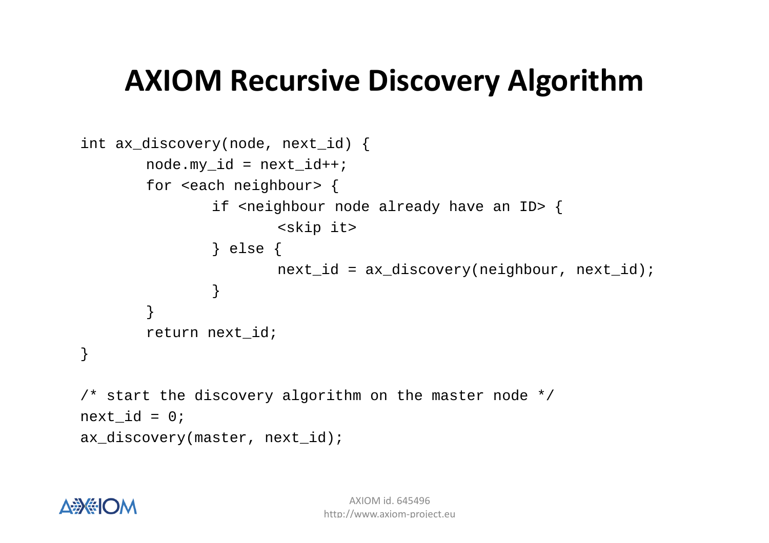## **AXIOM Recursive Discovery Algorithm**

```
int ax_discovery(node, next_id) { 
       node.my id = next id++;for <each neighbour> { if <neighbour node already have an ID> { 
                        <skip it> } else { next_id = ax_discovers(y)\neq (neighbour, next_id);} } return next_id;}\prime* start the discovery algorithm on the master node */
next id = 0;ax_discovery(master, next_id);
```
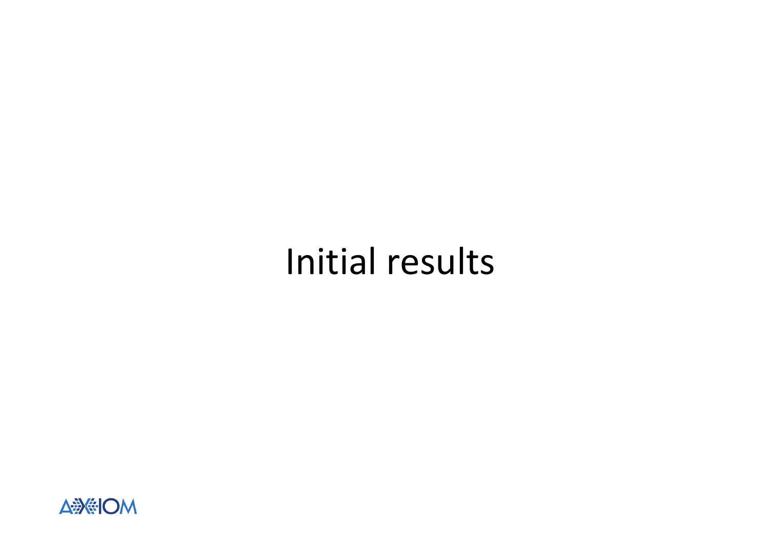## Initial results

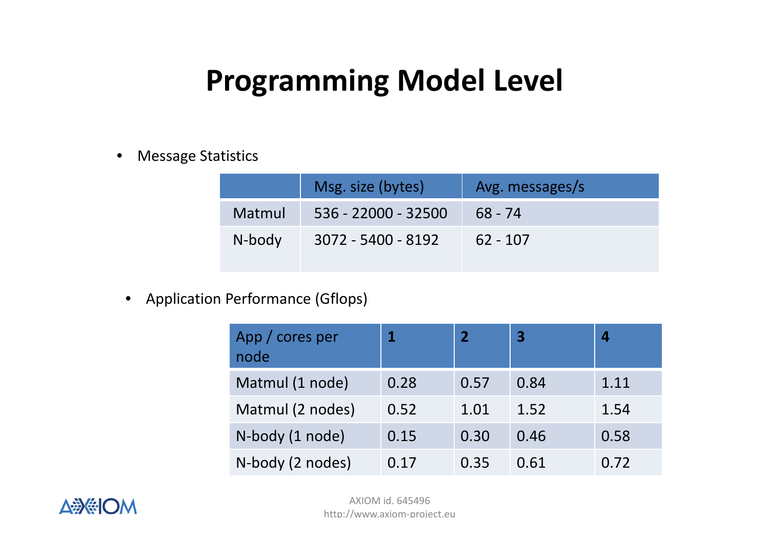## **Programming Model Level**

•Message Statistics

|        | Msg. size (bytes)   | Avg. messages/s |
|--------|---------------------|-----------------|
| Matmul | 536 - 22000 - 32500 | $68 - 74$       |
| N-body | 3072 - 5400 - 8192  | $62 - 107$      |

 $\bullet$ Application Performance (Gflops)

| App / cores per<br>node |      |      | $\overline{\mathbf{3}}$ |      |
|-------------------------|------|------|-------------------------|------|
| Matmul (1 node)         | 0.28 | 0.57 | 0.84                    | 1.11 |
| Matmul (2 nodes)        | 0.52 | 1.01 | 1.52                    | 1.54 |
| N-body (1 node)         | 0.15 | 0.30 | 0.46                    | 0.58 |
| N-body (2 nodes)        | 0.17 | 0.35 | 0.61                    | 0.72 |

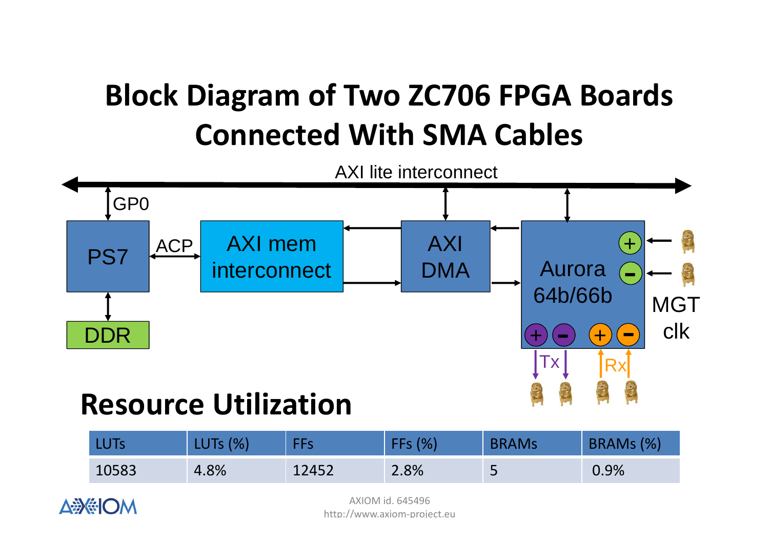

### **Resource Utilization**

| <b>LUTs</b> | <b>LUTs (%)</b> | FFs   | $\frac{1}{2}$ | <b>BRAMs</b> | BRAMs (%) |
|-------------|-----------------|-------|---------------|--------------|-----------|
| 10583       | 4.8%            | 12452 | 2.8%          | پ            | 0.9%      |



AXIOM id. 645496http://www.axiom-project.eu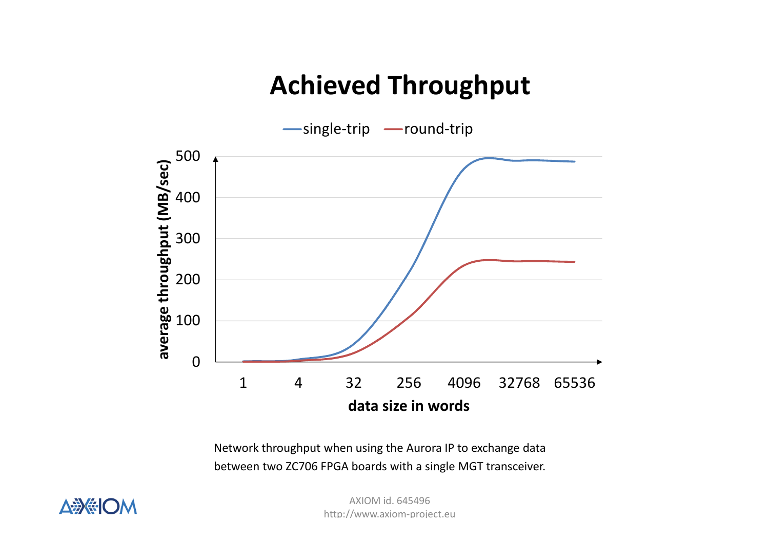### **Achieved Throughput**



Network throughput when using the Aurora IP to exchange databetween two ZC706 FPGA boards with a single MGT transceiver.



AXIOM id. 645496http://www.axiom-project.eu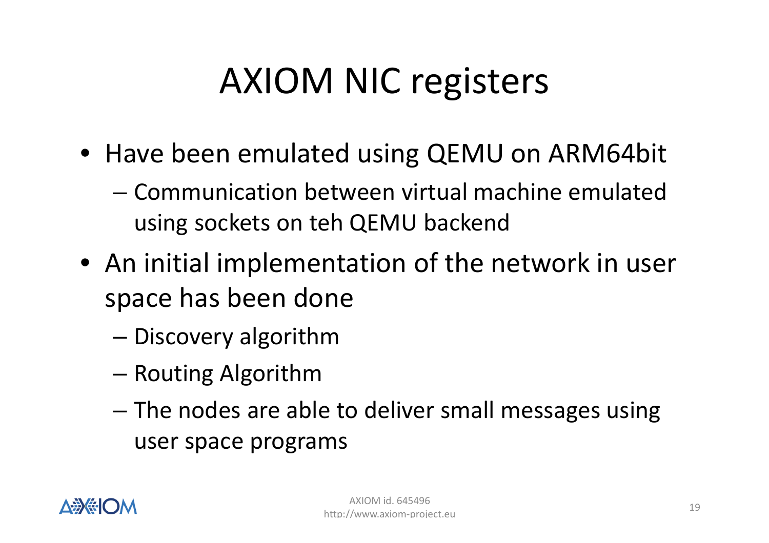# AXIOM NIC registers

- Have been emulated using QEMU on ARM64bit
	- – Communication between virtual machine emulated using sockets on teh QEMU backend
- An initial implementation of the network in user space has been done
	- –— Discovery algorithm
	- –— Routing Algorithm
	- – $-$  The nodes are able to deliver small messages using user space programs

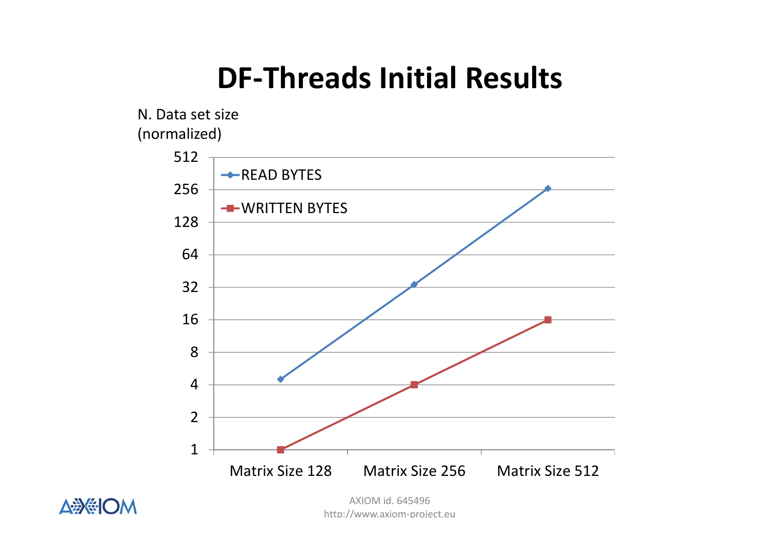## **DF-Threads Initial Results**







AXIOM id. 645496http://www.axiom-project.eu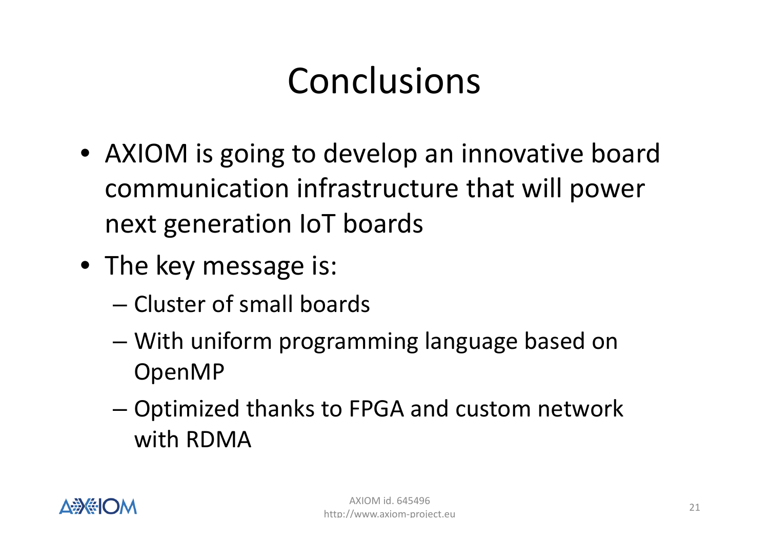# Conclusions

- AXIOM is going to develop an innovative board communication infrastructure that will power next generation IoT boards
- The key message is:
	- – $-$  Cluster of small boards
	- –– With uniform programming language based on<br>Qreas 4D OpenMP
	- – Optimized thanks to FPGA and custom network with RDMA